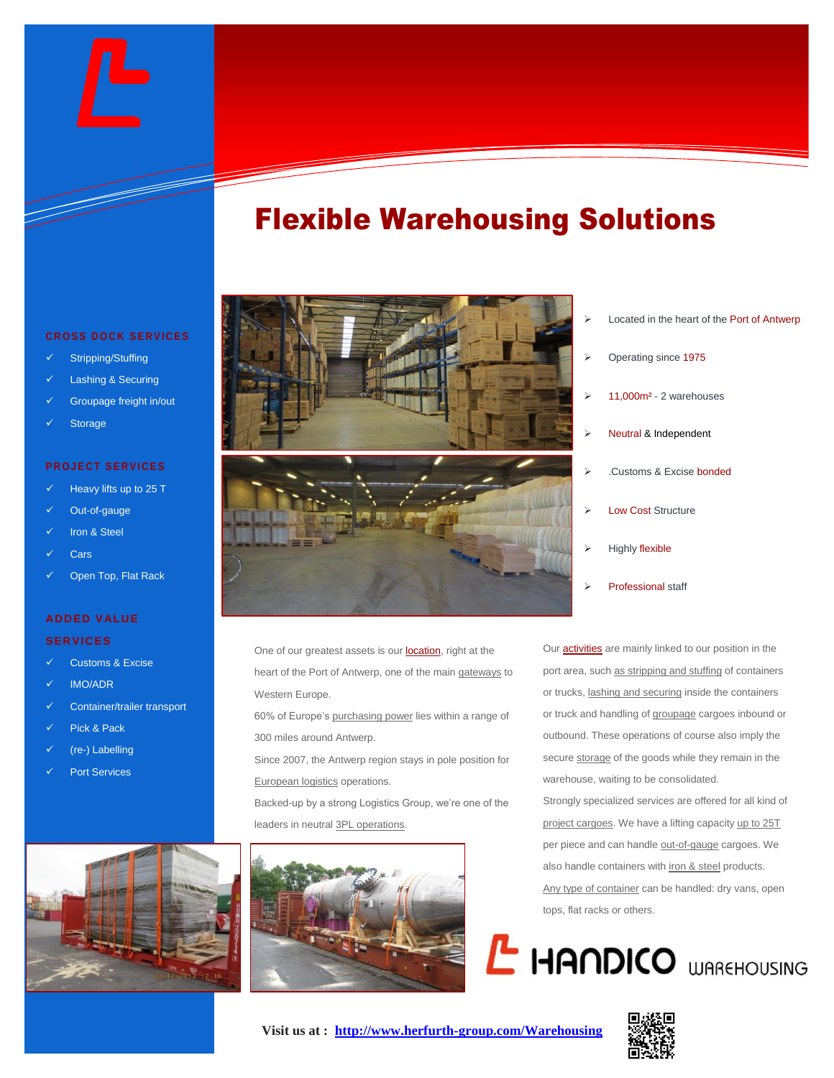# Flexible Warehousing Solutions

#### **C R O S S D O C K S E R V I C E S**

- Stripping/Stuffing
- Lashing & Securing
- Groupage freight in/out
- **Storage**

#### **PROJECT SERVICES**

- Heavy lifts up to 25 T
- Out-of-gauge
- Iron & Steel
- **Cars**
- Open Top, Flat Rack

#### **ADDED VALUE**

#### **SERVICES**

- Customs & Excise
- IMO/ADR
- Container/trailer transport
- Pick & Pack
- (re-) Labelling
- Port Services



- 
- One of our greatest assets is our location, right at the heart of the Port of Antwerp, one of the main gateways to Western Europe.
- 60% of Europe's purchasing power lies within a range of 300 miles around Antwerp.
- Since 2007, the Antwerp region stays in pole position for European logistics operations.

Backed-up by a strong Logistics Group, we're one of the leaders in neutral 3PL operations.



- Located in the heart of the Port of Antwerp
- Operating since 1975
- 11,000m² 2 warehouses
- Neutral & Independent
- .Customs & Excise bonded
- Low Cost Structure
- Highly flexible
- Professional staff

Our activities are mainly linked to our position in the port area, such as stripping and stuffing of containers or trucks, lashing and securing inside the containers or truck and handling of groupage cargoes inbound or outbound. These operations of course also imply the secure storage of the goods while they remain in the warehouse, waiting to be consolidated.

Strongly specialized services are offered for all kind of project cargoes. We have a lifting capacity up to 25T per piece and can handle out-of-gauge cargoes. We also handle containers with iron & steel products. Any type of container can be handled: dry vans, open tops, flat racks or others.